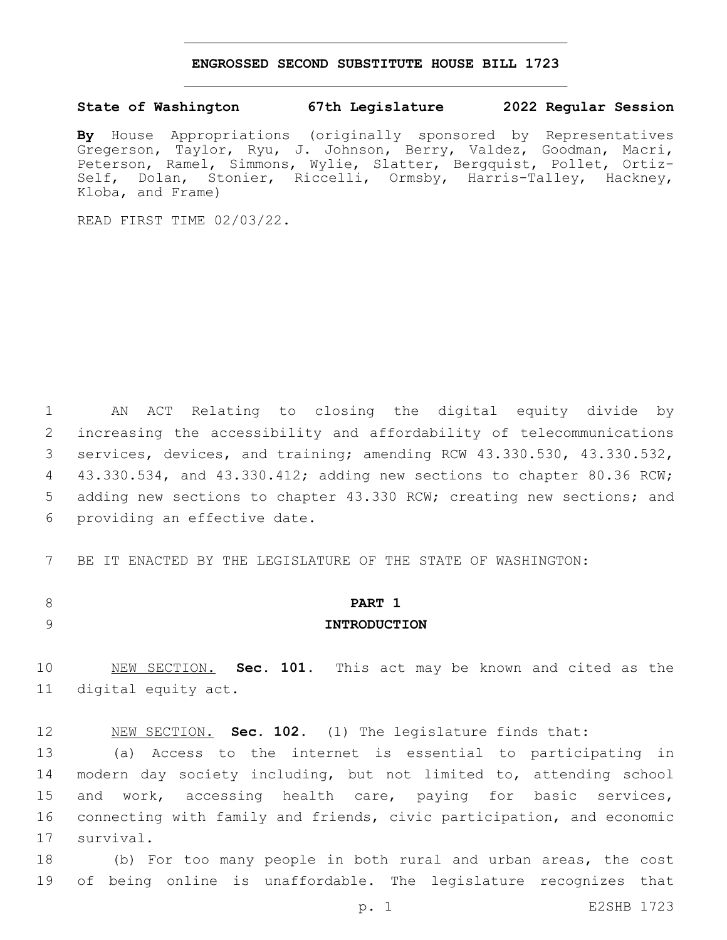#### **ENGROSSED SECOND SUBSTITUTE HOUSE BILL 1723**

#### **State of Washington 67th Legislature 2022 Regular Session**

**By** House Appropriations (originally sponsored by Representatives Gregerson, Taylor, Ryu, J. Johnson, Berry, Valdez, Goodman, Macri, Peterson, Ramel, Simmons, Wylie, Slatter, Bergquist, Pollet, Ortiz-Self, Dolan, Stonier, Riccelli, Ormsby, Harris-Talley, Hackney, Kloba, and Frame)

READ FIRST TIME 02/03/22.

1 AN ACT Relating to closing the digital equity divide by 2 increasing the accessibility and affordability of telecommunications 3 services, devices, and training; amending RCW 43.330.530, 43.330.532, 4 43.330.534, and 43.330.412; adding new sections to chapter 80.36 RCW; 5 adding new sections to chapter 43.330 RCW; creating new sections; and 6 providing an effective date.

7 BE IT ENACTED BY THE LEGISLATURE OF THE STATE OF WASHINGTON:

# 8 **PART 1** 9 **INTRODUCTION**

10 NEW SECTION. **Sec. 101.** This act may be known and cited as the 11 digital equity act.

12 NEW SECTION. **Sec. 102.** (1) The legislature finds that:

13 (a) Access to the internet is essential to participating in 14 modern day society including, but not limited to, attending school 15 and work, accessing health care, paying for basic services, 16 connecting with family and friends, civic participation, and economic 17 survival.

18 (b) For too many people in both rural and urban areas, the cost 19 of being online is unaffordable. The legislature recognizes that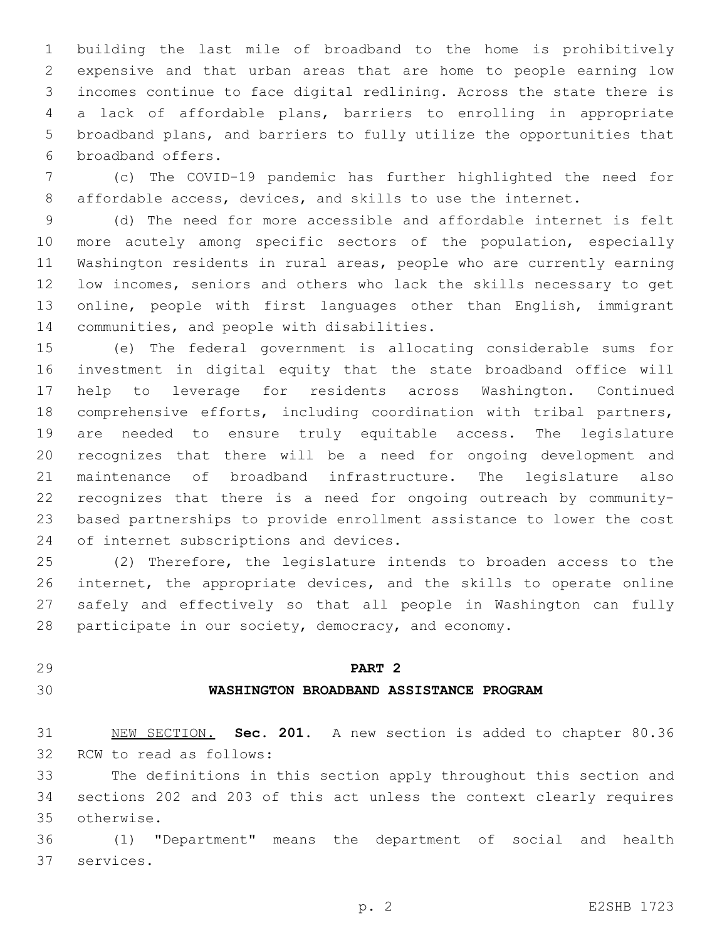building the last mile of broadband to the home is prohibitively expensive and that urban areas that are home to people earning low incomes continue to face digital redlining. Across the state there is a lack of affordable plans, barriers to enrolling in appropriate broadband plans, and barriers to fully utilize the opportunities that 6 broadband offers.

 (c) The COVID-19 pandemic has further highlighted the need for affordable access, devices, and skills to use the internet.

 (d) The need for more accessible and affordable internet is felt more acutely among specific sectors of the population, especially Washington residents in rural areas, people who are currently earning low incomes, seniors and others who lack the skills necessary to get online, people with first languages other than English, immigrant 14 communities, and people with disabilities.

 (e) The federal government is allocating considerable sums for investment in digital equity that the state broadband office will help to leverage for residents across Washington. Continued comprehensive efforts, including coordination with tribal partners, are needed to ensure truly equitable access. The legislature recognizes that there will be a need for ongoing development and maintenance of broadband infrastructure. The legislature also recognizes that there is a need for ongoing outreach by community- based partnerships to provide enrollment assistance to lower the cost 24 of internet subscriptions and devices.

 (2) Therefore, the legislature intends to broaden access to the internet, the appropriate devices, and the skills to operate online safely and effectively so that all people in Washington can fully participate in our society, democracy, and economy.

### **PART 2**

#### **WASHINGTON BROADBAND ASSISTANCE PROGRAM**

 NEW SECTION. **Sec. 201.** A new section is added to chapter 80.36 32 RCW to read as follows:

 The definitions in this section apply throughout this section and sections 202 and 203 of this act unless the context clearly requires otherwise.35

 (1) "Department" means the department of social and health 37 services.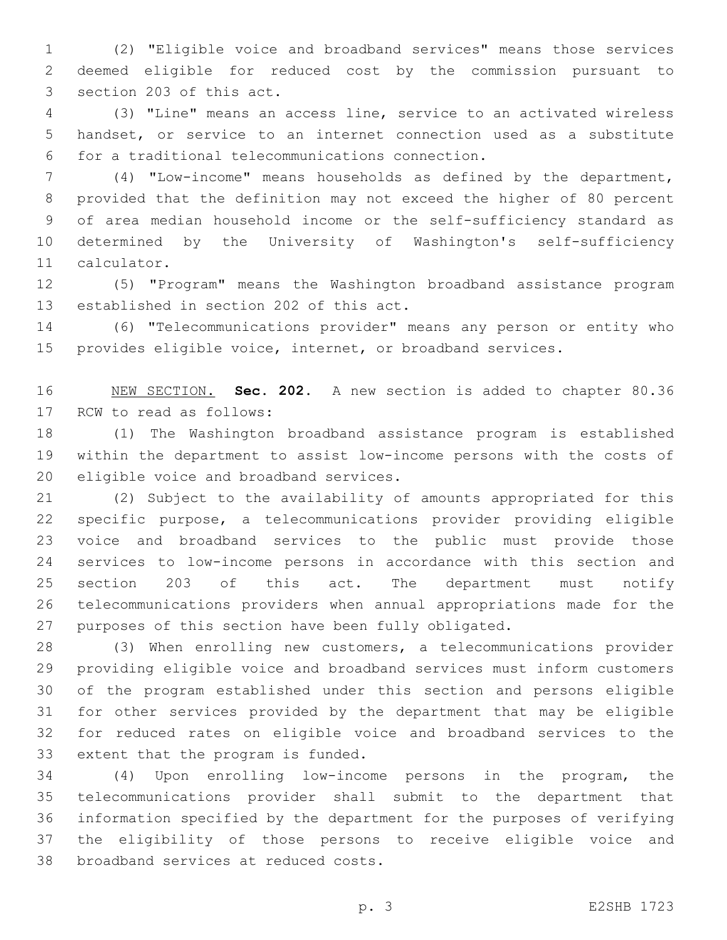(2) "Eligible voice and broadband services" means those services deemed eligible for reduced cost by the commission pursuant to 3 section 203 of this act.

 (3) "Line" means an access line, service to an activated wireless handset, or service to an internet connection used as a substitute for a traditional telecommunications connection.6

 (4) "Low-income" means households as defined by the department, provided that the definition may not exceed the higher of 80 percent of area median household income or the self-sufficiency standard as determined by the University of Washington's self-sufficiency 11 calculator.

 (5) "Program" means the Washington broadband assistance program 13 established in section 202 of this act.

 (6) "Telecommunications provider" means any person or entity who provides eligible voice, internet, or broadband services.

 NEW SECTION. **Sec. 202.** A new section is added to chapter 80.36 17 RCW to read as follows:

 (1) The Washington broadband assistance program is established within the department to assist low-income persons with the costs of 20 eligible voice and broadband services.

 (2) Subject to the availability of amounts appropriated for this specific purpose, a telecommunications provider providing eligible voice and broadband services to the public must provide those services to low-income persons in accordance with this section and section 203 of this act. The department must notify telecommunications providers when annual appropriations made for the purposes of this section have been fully obligated.

 (3) When enrolling new customers, a telecommunications provider providing eligible voice and broadband services must inform customers of the program established under this section and persons eligible for other services provided by the department that may be eligible for reduced rates on eligible voice and broadband services to the 33 extent that the program is funded.

 (4) Upon enrolling low-income persons in the program, the telecommunications provider shall submit to the department that information specified by the department for the purposes of verifying the eligibility of those persons to receive eligible voice and 38 broadband services at reduced costs.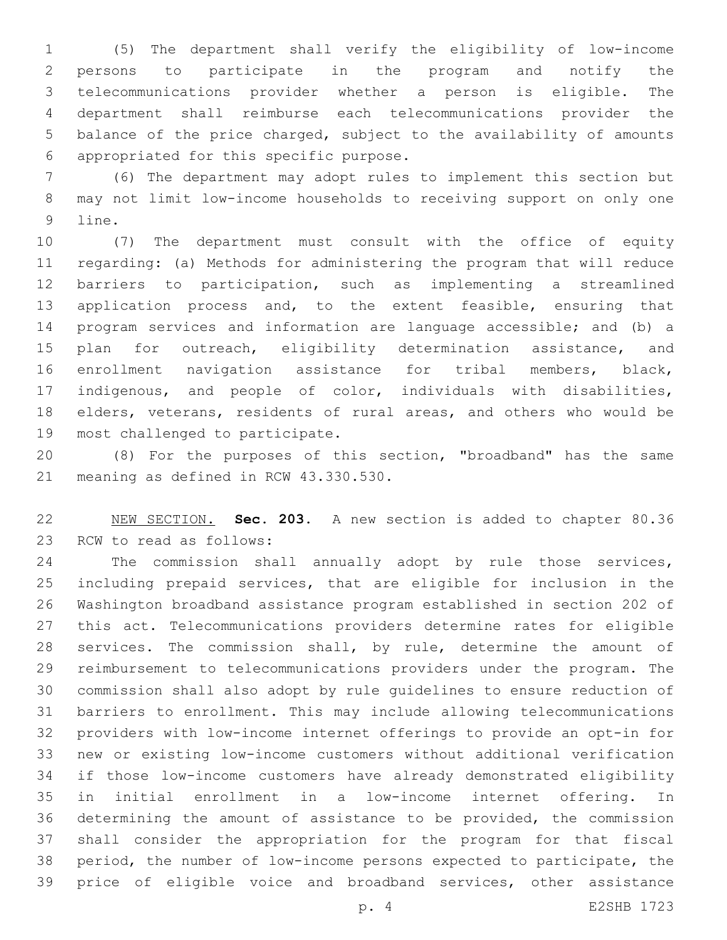(5) The department shall verify the eligibility of low-income persons to participate in the program and notify the telecommunications provider whether a person is eligible. The department shall reimburse each telecommunications provider the balance of the price charged, subject to the availability of amounts appropriated for this specific purpose.6

 (6) The department may adopt rules to implement this section but may not limit low-income households to receiving support on only one 9 line.

 (7) The department must consult with the office of equity regarding: (a) Methods for administering the program that will reduce barriers to participation, such as implementing a streamlined application process and, to the extent feasible, ensuring that program services and information are language accessible; and (b) a 15 plan for outreach, eligibility determination assistance, and enrollment navigation assistance for tribal members, black, indigenous, and people of color, individuals with disabilities, elders, veterans, residents of rural areas, and others who would be 19 most challenged to participate.

 (8) For the purposes of this section, "broadband" has the same 21 meaning as defined in RCW 43.330.530.

 NEW SECTION. **Sec. 203.** A new section is added to chapter 80.36 23 RCW to read as follows:

 The commission shall annually adopt by rule those services, including prepaid services, that are eligible for inclusion in the Washington broadband assistance program established in section 202 of this act. Telecommunications providers determine rates for eligible services. The commission shall, by rule, determine the amount of reimbursement to telecommunications providers under the program. The commission shall also adopt by rule guidelines to ensure reduction of barriers to enrollment. This may include allowing telecommunications providers with low-income internet offerings to provide an opt-in for new or existing low-income customers without additional verification if those low-income customers have already demonstrated eligibility in initial enrollment in a low-income internet offering. In determining the amount of assistance to be provided, the commission shall consider the appropriation for the program for that fiscal period, the number of low-income persons expected to participate, the price of eligible voice and broadband services, other assistance

p. 4 E2SHB 1723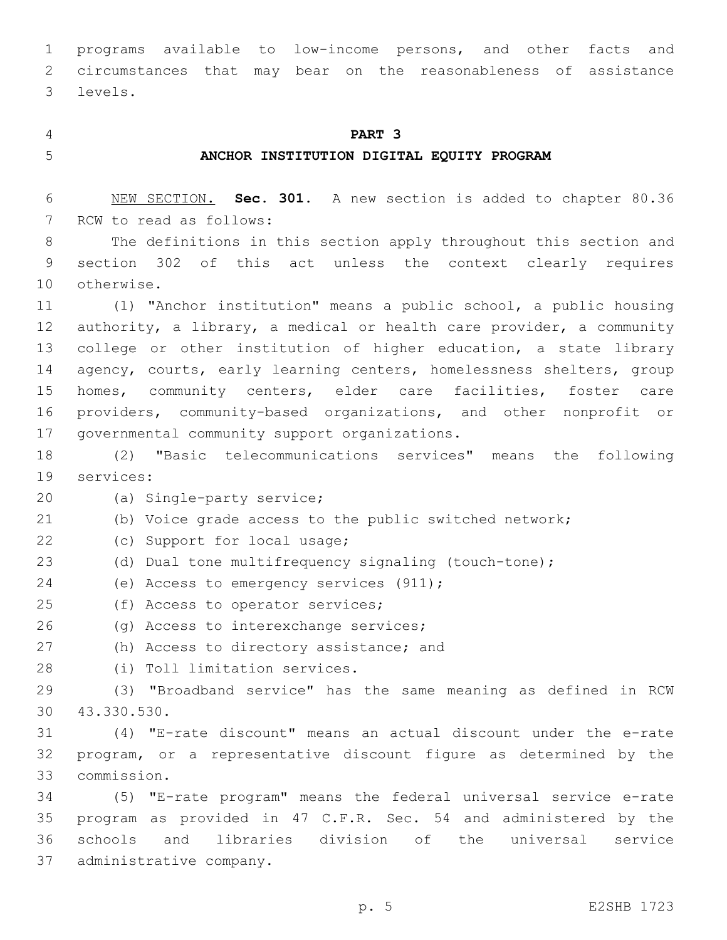1 programs available to low-income persons, and other facts and 2 circumstances that may bear on the reasonableness of assistance levels.3

#### 4 **PART 3**

#### 5 **ANCHOR INSTITUTION DIGITAL EQUITY PROGRAM**

6 NEW SECTION. **Sec. 301.** A new section is added to chapter 80.36 7 RCW to read as follows:

8 The definitions in this section apply throughout this section and 9 section 302 of this act unless the context clearly requires 10 otherwise.

 (1) "Anchor institution" means a public school, a public housing authority, a library, a medical or health care provider, a community 13 college or other institution of higher education, a state library agency, courts, early learning centers, homelessness shelters, group homes, community centers, elder care facilities, foster care providers, community-based organizations, and other nonprofit or 17 governmental community support organizations.

18 (2) "Basic telecommunications services" means the following 19 services:

20 (a) Single-party service;

21 (b) Voice grade access to the public switched network;

22 (c) Support for local usage;

23 (d) Dual tone multifrequency signaling (touch-tone);

24 (e) Access to emergency services (911);

25 (f) Access to operator services;

26 (g) Access to interexchange services;

27 (h) Access to directory assistance; and

28 (i) Toll limitation services.

29 (3) "Broadband service" has the same meaning as defined in RCW 43.330.530.30

31 (4) "E-rate discount" means an actual discount under the e-rate 32 program, or a representative discount figure as determined by the commission.33

 (5) "E-rate program" means the federal universal service e-rate program as provided in 47 C.F.R. Sec. 54 and administered by the schools and libraries division of the universal service 37 administrative company.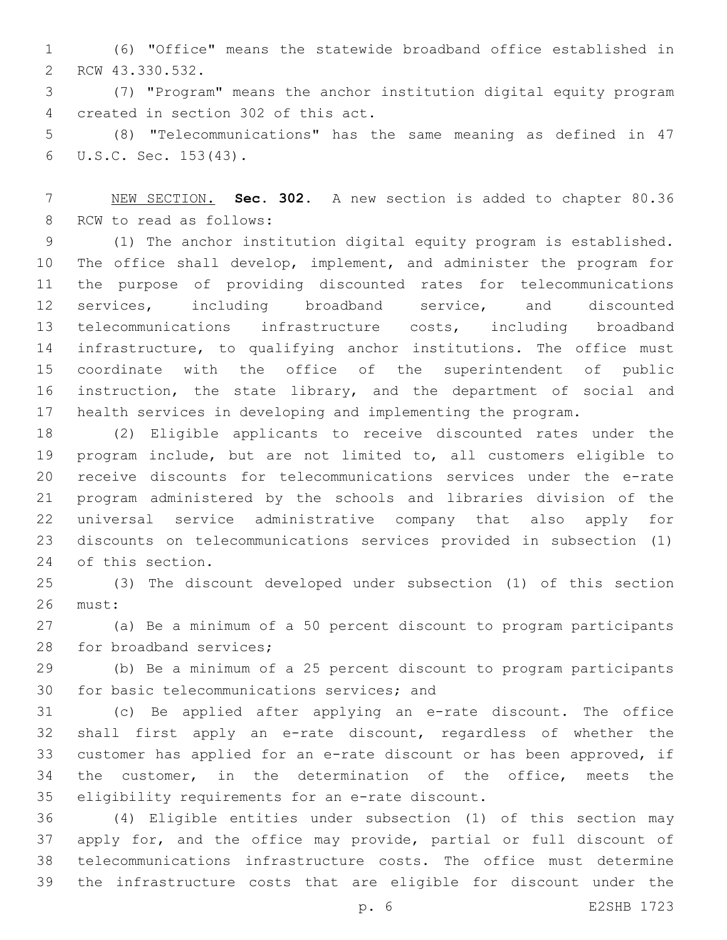(6) "Office" means the statewide broadband office established in 2 RCW 43.330.532.

 (7) "Program" means the anchor institution digital equity program 4 created in section 302 of this act.

 (8) "Telecommunications" has the same meaning as defined in 47 U.S.C. Sec. 153(43).6

 NEW SECTION. **Sec. 302.** A new section is added to chapter 80.36 8 RCW to read as follows:

 (1) The anchor institution digital equity program is established. The office shall develop, implement, and administer the program for the purpose of providing discounted rates for telecommunications services, including broadband service, and discounted telecommunications infrastructure costs, including broadband 14 infrastructure, to qualifying anchor institutions. The office must coordinate with the office of the superintendent of public instruction, the state library, and the department of social and health services in developing and implementing the program.

 (2) Eligible applicants to receive discounted rates under the program include, but are not limited to, all customers eligible to receive discounts for telecommunications services under the e-rate program administered by the schools and libraries division of the universal service administrative company that also apply for discounts on telecommunications services provided in subsection (1) 24 of this section.

 (3) The discount developed under subsection (1) of this section 26 must:

 (a) Be a minimum of a 50 percent discount to program participants 28 for broadband services;

 (b) Be a minimum of a 25 percent discount to program participants 30 for basic telecommunications services; and

 (c) Be applied after applying an e-rate discount. The office shall first apply an e-rate discount, regardless of whether the customer has applied for an e-rate discount or has been approved, if the customer, in the determination of the office, meets the 35 eligibility requirements for an e-rate discount.

 (4) Eligible entities under subsection (1) of this section may apply for, and the office may provide, partial or full discount of telecommunications infrastructure costs. The office must determine the infrastructure costs that are eligible for discount under the

p. 6 E2SHB 1723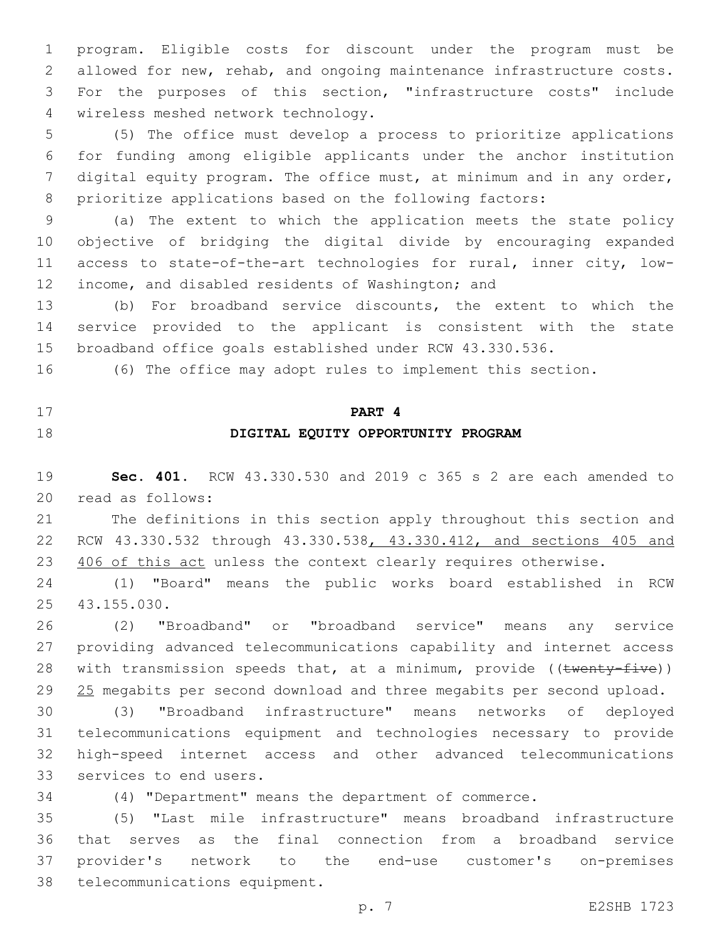program. Eligible costs for discount under the program must be allowed for new, rehab, and ongoing maintenance infrastructure costs. For the purposes of this section, "infrastructure costs" include 4 wireless meshed network technology.

 (5) The office must develop a process to prioritize applications for funding among eligible applicants under the anchor institution digital equity program. The office must, at minimum and in any order, prioritize applications based on the following factors:

 (a) The extent to which the application meets the state policy objective of bridging the digital divide by encouraging expanded access to state-of-the-art technologies for rural, inner city, low-12 income, and disabled residents of Washington; and

 (b) For broadband service discounts, the extent to which the service provided to the applicant is consistent with the state broadband office goals established under RCW 43.330.536.

(6) The office may adopt rules to implement this section.

# **PART 4**

## **DIGITAL EQUITY OPPORTUNITY PROGRAM**

 **Sec. 401.** RCW 43.330.530 and 2019 c 365 s 2 are each amended to 20 read as follows:

 The definitions in this section apply throughout this section and RCW 43.330.532 through 43.330.538, 43.330.412, and sections 405 and 23 406 of this act unless the context clearly requires otherwise.

 (1) "Board" means the public works board established in RCW 43.155.030.25

 (2) "Broadband" or "broadband service" means any service providing advanced telecommunications capability and internet access 28 with transmission speeds that, at a minimum, provide ((twenty-five)) 29 25 megabits per second download and three megabits per second upload.

 (3) "Broadband infrastructure" means networks of deployed telecommunications equipment and technologies necessary to provide high-speed internet access and other advanced telecommunications 33 services to end users.

(4) "Department" means the department of commerce.

 (5) "Last mile infrastructure" means broadband infrastructure that serves as the final connection from a broadband service provider's network to the end-use customer's on-premises 38 telecommunications equipment.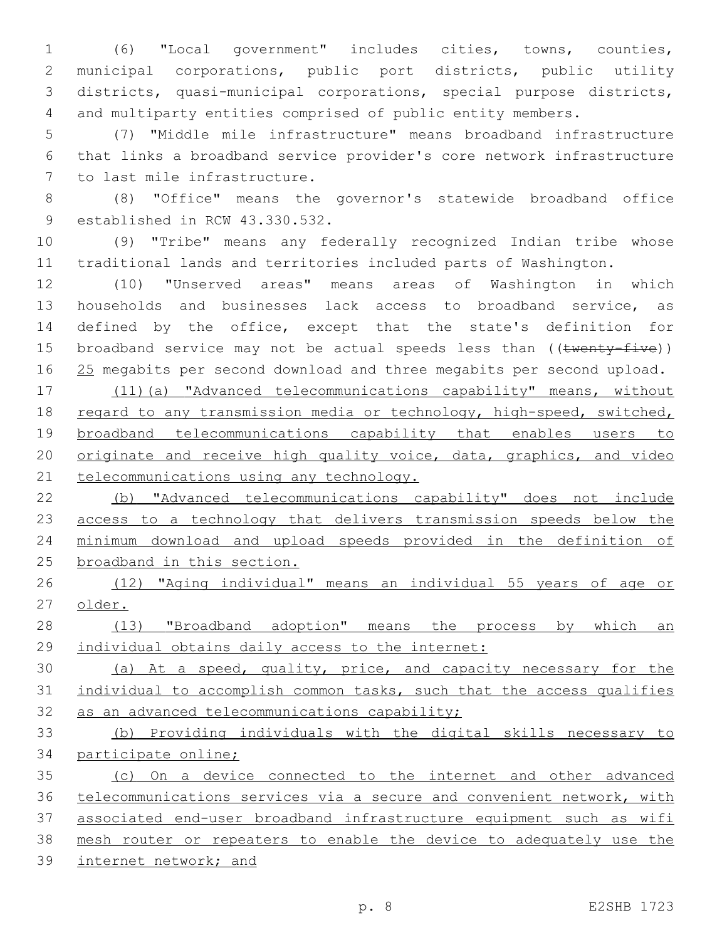(6) "Local government" includes cities, towns, counties, municipal corporations, public port districts, public utility districts, quasi-municipal corporations, special purpose districts, and multiparty entities comprised of public entity members.

 (7) "Middle mile infrastructure" means broadband infrastructure that links a broadband service provider's core network infrastructure 7 to last mile infrastructure.

 (8) "Office" means the governor's statewide broadband office 9 established in RCW 43.330.532.

 (9) "Tribe" means any federally recognized Indian tribe whose traditional lands and territories included parts of Washington.

 (10) "Unserved areas" means areas of Washington in which households and businesses lack access to broadband service, as defined by the office, except that the state's definition for 15 broadband service may not be actual speeds less than ((twenty-five)) 16 25 megabits per second download and three megabits per second upload.

 (11)(a) "Advanced telecommunications capability" means, without regard to any transmission media or technology, high-speed, switched, 19 broadband telecommunications capability that enables users to 20 originate and receive high quality voice, data, graphics, and video 21 telecommunications using any technology.

 (b) "Advanced telecommunications capability" does not include access to a technology that delivers transmission speeds below the minimum download and upload speeds provided in the definition of broadband in this section.

 (12) "Aging individual" means an individual 55 years of age or older.

 (13) "Broadband adoption" means the process by which an individual obtains daily access to the internet:

 (a) At a speed, quality, price, and capacity necessary for the individual to accomplish common tasks, such that the access qualifies 32 as an advanced telecommunications capability;

 (b) Providing individuals with the digital skills necessary to participate online;

 (c) On a device connected to the internet and other advanced telecommunications services via a secure and convenient network, with associated end-user broadband infrastructure equipment such as wifi mesh router or repeaters to enable the device to adequately use the internet network; and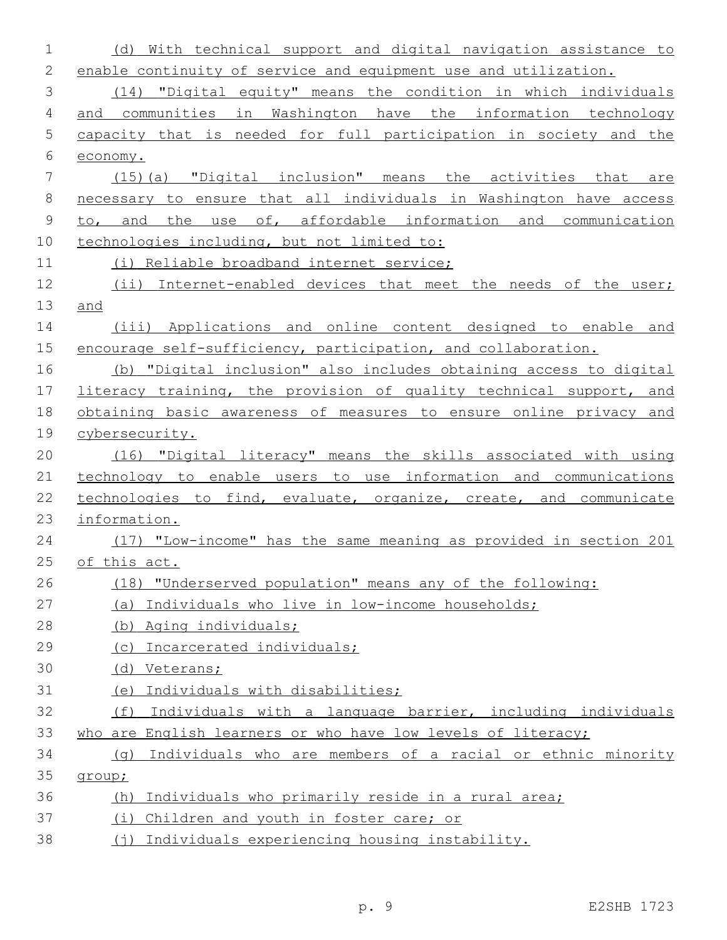| 1            | (d) With technical support and digital navigation assistance to           |
|--------------|---------------------------------------------------------------------------|
| $\mathbf{2}$ | enable continuity of service and equipment use and utilization.           |
| 3            | (14) "Digital equity" means the condition in which individuals            |
| 4            | and communities in Washington have the information technology             |
| 5            | capacity that is needed for full participation in society and the         |
| 6            | economy.                                                                  |
| 7            | (15) (a) "Digital inclusion" means the activities that are                |
| 8            | necessary to ensure that all individuals in Washington have access        |
| $\mathsf 9$  | to, and the use of, affordable information and communication              |
| 10           | technologies including, but not limited to:                               |
| 11           | (i) Reliable broadband internet service;                                  |
| 12           | (ii) Internet-enabled devices that meet the needs of the user;            |
| 13           | and                                                                       |
| 14           | (iii) Applications and online content designed to enable and              |
| 15           | encourage self-sufficiency, participation, and collaboration.             |
| 16           | (b) "Digital inclusion" also includes obtaining access to digital         |
| 17           | literacy training, the provision of quality technical support, and        |
| 18           | obtaining basic awareness of measures to ensure online privacy and        |
| 19           | cybersecurity.                                                            |
| 20           | (16) "Digital literacy" means the skills associated with using            |
| 21           | technology to enable users to use information and communications          |
| 22           | technologies to find, evaluate, organize, create, and communicate         |
| 23           | information.                                                              |
| 24           | (17) "Low-income <u>"</u> has the same meaning as provided in section 201 |
| 25           | of this act.                                                              |
| 26           | (18) "Underserved population" means any of the following:                 |
| 27           | (a) Individuals who live in low-income households;                        |
| 28           | (b) Aging individuals;                                                    |
| 29           | (c) Incarcerated individuals;                                             |
| 30           | (d) Veterans;                                                             |
| 31           | Individuals with disabilities;<br>(e)                                     |
| 32           | (f) Individuals with a language barrier, including individuals            |
| 33           | who are English learners or who have low levels of literacy;              |
| 34           | Individuals who are members of a racial or ethnic minority<br>(q)         |
| 35           | group;                                                                    |
| 36           | Individuals who primarily reside in a rural area;<br>(h)                  |
| 37           | Children and youth in foster care; or<br>(i)                              |
| 38           | (j) Individuals experiencing housing instability.                         |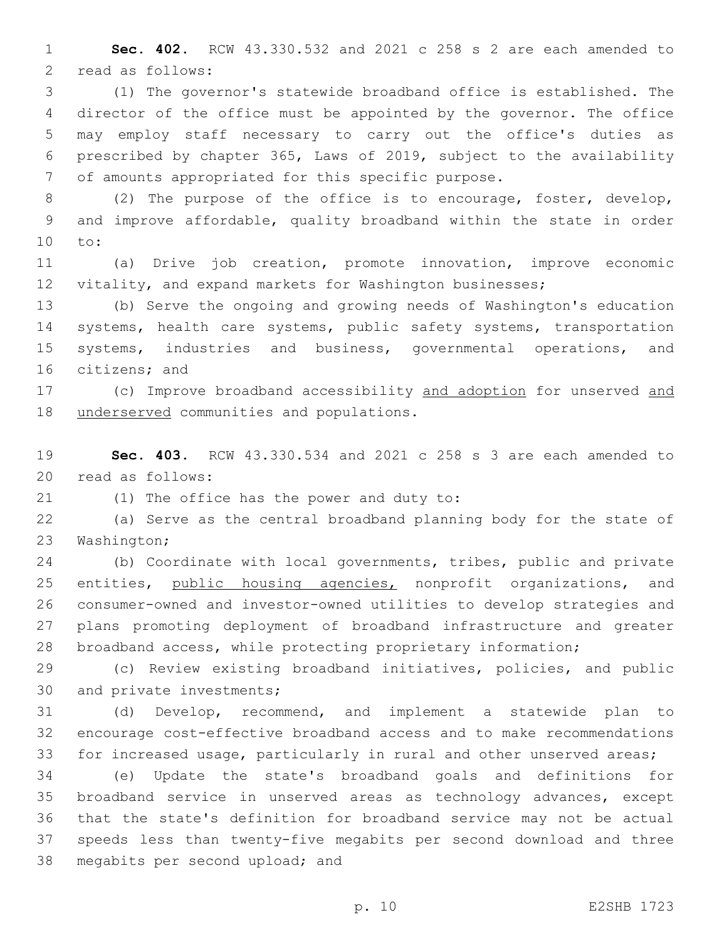1 **Sec. 402.** RCW 43.330.532 and 2021 c 258 s 2 are each amended to 2 read as follows:

 (1) The governor's statewide broadband office is established. The director of the office must be appointed by the governor. The office may employ staff necessary to carry out the office's duties as prescribed by chapter 365, Laws of 2019, subject to the availability 7 of amounts appropriated for this specific purpose.

8 (2) The purpose of the office is to encourage, foster, develop, 9 and improve affordable, quality broadband within the state in order 10 to:

11 (a) Drive job creation, promote innovation, improve economic 12 vitality, and expand markets for Washington businesses;

13 (b) Serve the ongoing and growing needs of Washington's education 14 systems, health care systems, public safety systems, transportation 15 systems, industries and business, governmental operations, and 16 citizens; and

17 (c) Improve broadband accessibility and adoption for unserved and 18 underserved communities and populations.

19 **Sec. 403.** RCW 43.330.534 and 2021 c 258 s 3 are each amended to 20 read as follows:

21 (1) The office has the power and duty to:

22 (a) Serve as the central broadband planning body for the state of 23 Washington;

 (b) Coordinate with local governments, tribes, public and private 25 entities, public housing agencies, nonprofit organizations, and consumer-owned and investor-owned utilities to develop strategies and plans promoting deployment of broadband infrastructure and greater broadband access, while protecting proprietary information;

29 (c) Review existing broadband initiatives, policies, and public 30 and private investments;

31 (d) Develop, recommend, and implement a statewide plan to 32 encourage cost-effective broadband access and to make recommendations 33 for increased usage, particularly in rural and other unserved areas;

 (e) Update the state's broadband goals and definitions for broadband service in unserved areas as technology advances, except that the state's definition for broadband service may not be actual speeds less than twenty-five megabits per second download and three 38 megabits per second upload; and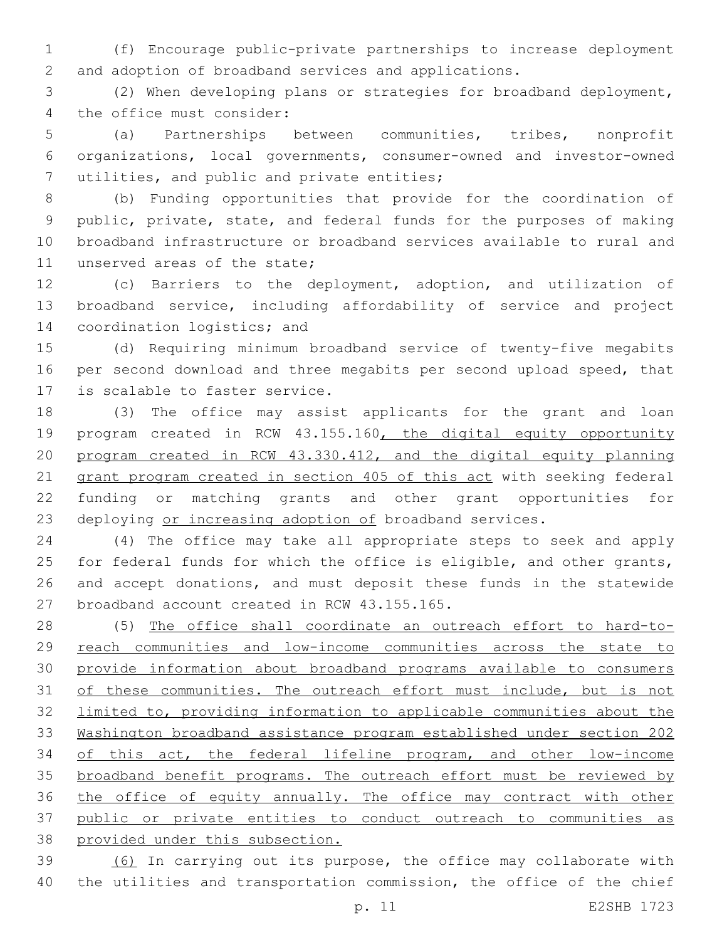(f) Encourage public-private partnerships to increase deployment and adoption of broadband services and applications.

 (2) When developing plans or strategies for broadband deployment, 4 the office must consider:

 (a) Partnerships between communities, tribes, nonprofit organizations, local governments, consumer-owned and investor-owned 7 utilities, and public and private entities;

 (b) Funding opportunities that provide for the coordination of public, private, state, and federal funds for the purposes of making broadband infrastructure or broadband services available to rural and 11 unserved areas of the state;

 (c) Barriers to the deployment, adoption, and utilization of broadband service, including affordability of service and project 14 coordination logistics; and

 (d) Requiring minimum broadband service of twenty-five megabits per second download and three megabits per second upload speed, that 17 is scalable to faster service.

 (3) The office may assist applicants for the grant and loan 19 program created in RCW 43.155.160, the digital equity opportunity program created in RCW 43.330.412, and the digital equity planning grant program created in section 405 of this act with seeking federal funding or matching grants and other grant opportunities for 23 deploying or increasing adoption of broadband services.

 (4) The office may take all appropriate steps to seek and apply for federal funds for which the office is eligible, and other grants, and accept donations, and must deposit these funds in the statewide 27 broadband account created in RCW 43.155.165.

 (5) The office shall coordinate an outreach effort to hard-to-29 reach communities and low-income communities across the state to provide information about broadband programs available to consumers 31 of these communities. The outreach effort must include, but is not limited to, providing information to applicable communities about the Washington broadband assistance program established under section 202 34 of this act, the federal lifeline program, and other low-income 35 broadband benefit programs. The outreach effort must be reviewed by 36 the office of equity annually. The office may contract with other public or private entities to conduct outreach to communities as provided under this subsection.

 (6) In carrying out its purpose, the office may collaborate with the utilities and transportation commission, the office of the chief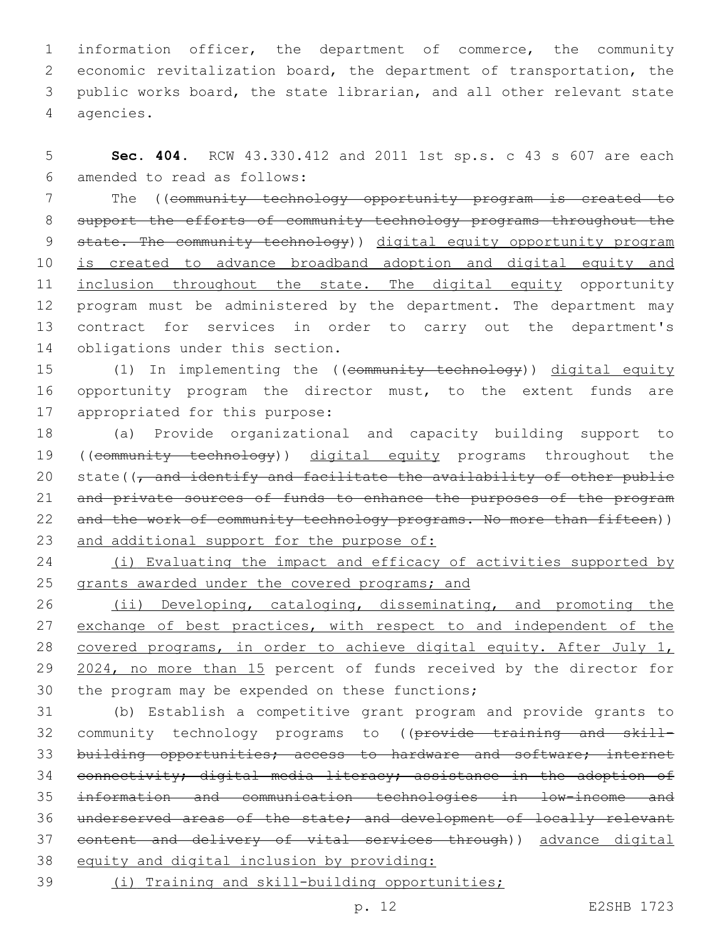information officer, the department of commerce, the community economic revitalization board, the department of transportation, the public works board, the state librarian, and all other relevant state 4 agencies.

5 **Sec. 404.** RCW 43.330.412 and 2011 1st sp.s. c 43 s 607 are each amended to read as follows:6

7 The ((community technology opportunity program is created to 8 support the efforts of community technology programs throughout the 9 state. The community technology) digital equity opportunity program 10 is created to advance broadband adoption and digital equity and 11 inclusion throughout the state. The digital equity opportunity 12 program must be administered by the department. The department may 13 contract for services in order to carry out the department's 14 obligations under this section.

15 (1) In implementing the ((community technology)) digital equity 16 opportunity program the director must, to the extent funds are 17 appropriated for this purpose:

18 (a) Provide organizational and capacity building support to 19 ((community technology)) digital equity programs throughout the 20 state( $\sqrt{7}$  and identify and facilitate the availability of other public 21 and private sources of funds to enhance the purposes of the program 22 and the work of community technology programs. No more than fifteen)) 23 and additional support for the purpose of:

24 (i) Evaluating the impact and efficacy of activities supported by 25 grants awarded under the covered programs; and

26 (ii) Developing, cataloging, disseminating, and promoting the 27 exchange of best practices, with respect to and independent of the 28 covered programs, in order to achieve digital equity. After July 1, 29 2024, no more than 15 percent of funds received by the director for 30 the program may be expended on these functions;

 (b) Establish a competitive grant program and provide grants to 32 community technology programs to ((provide training and skill-33 building opportunities; access to hardware and software; internet connectivity; digital media literacy; assistance in the adoption of information and communication technologies in low-income and underserved areas of the state; and development of locally relevant content and delivery of vital services through)) advance digital equity and digital inclusion by providing:

39 (i) Training and skill-building opportunities;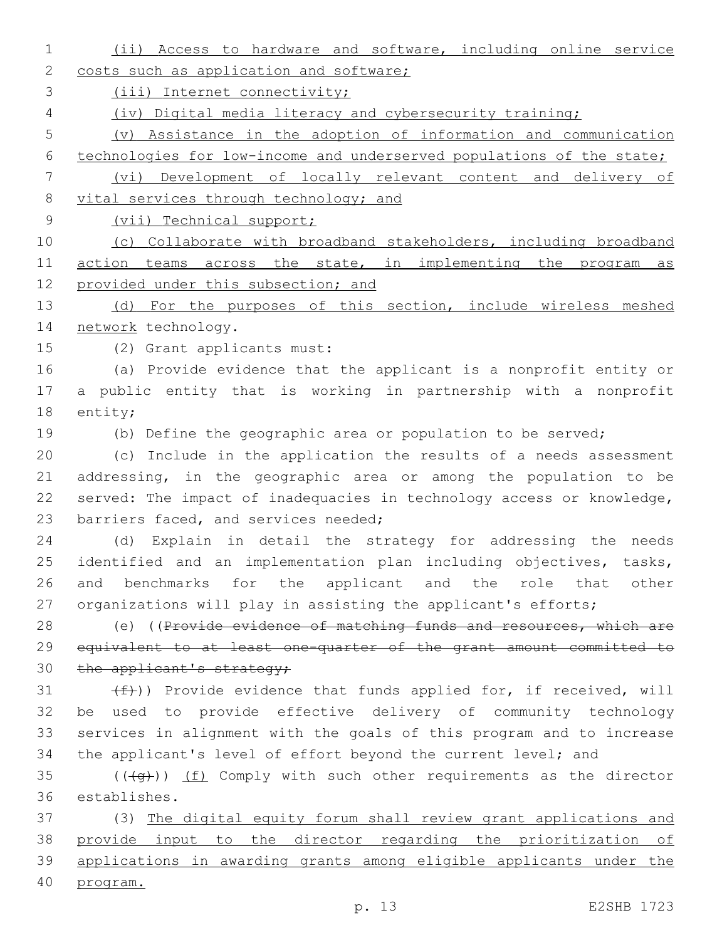(ii) Access to hardware and software, including online service 2 costs such as application and software; (iii) Internet connectivity; (iv) Digital media literacy and cybersecurity training; (v) Assistance in the adoption of information and communication technologies for low-income and underserved populations of the state; (vi) Development of locally relevant content and delivery of 8 vital services through technology; and (vii) Technical support; (c) Collaborate with broadband stakeholders, including broadband 11 action teams across the state, in implementing the program as 12 provided under this subsection; and 13 (d) For the purposes of this section, include wireless meshed 14 network technology. 15 (2) Grant applicants must: (a) Provide evidence that the applicant is a nonprofit entity or a public entity that is working in partnership with a nonprofit 18 entity; (b) Define the geographic area or population to be served; (c) Include in the application the results of a needs assessment addressing, in the geographic area or among the population to be served: The impact of inadequacies in technology access or knowledge, 23 barriers faced, and services needed; (d) Explain in detail the strategy for addressing the needs identified and an implementation plan including objectives, tasks, and benchmarks for the applicant and the role that other 27 organizations will play in assisting the applicant's efforts; 28 (e) ((Provide evidence of matching funds and resources, which are equivalent to at least one-quarter of the grant amount committed to 30 the applicant's strategy;  $(f)$ ) Provide evidence that funds applied for, if received, will be used to provide effective delivery of community technology services in alignment with the goals of this program and to increase 34 the applicant's level of effort beyond the current level; and ( $(\overline{+q})$ ) (f) Comply with such other requirements as the director establishes.36 (3) The digital equity forum shall review grant applications and provide input to the director regarding the prioritization of applications in awarding grants among eligible applicants under the program.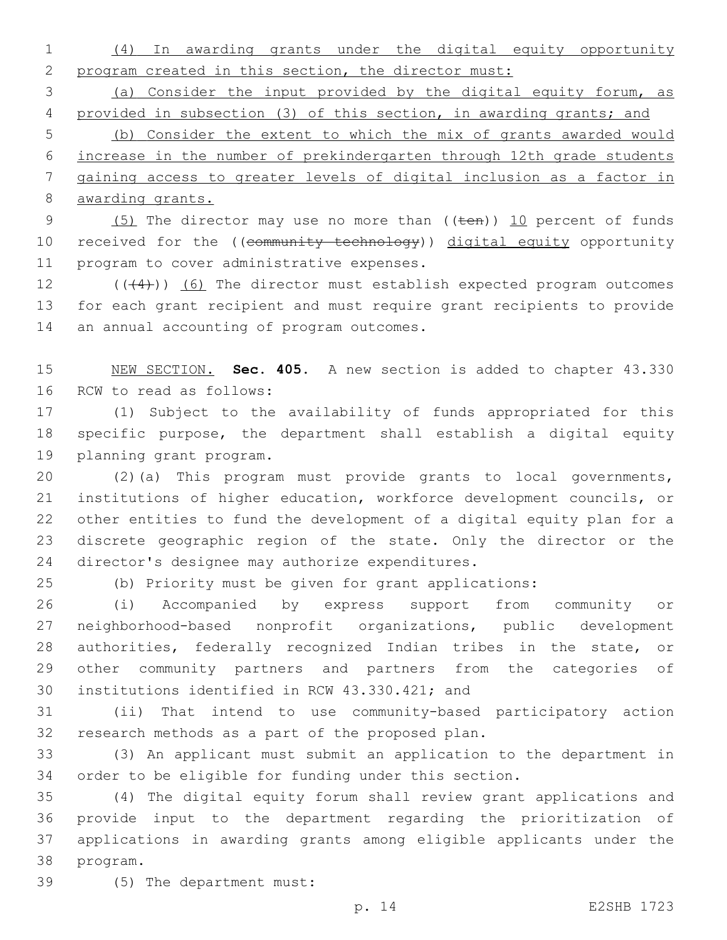(4) In awarding grants under the digital equity opportunity program created in this section, the director must:

 (a) Consider the input provided by the digital equity forum, as provided in subsection (3) of this section, in awarding grants; and

 (b) Consider the extent to which the mix of grants awarded would increase in the number of prekindergarten through 12th grade students gaining access to greater levels of digital inclusion as a factor in awarding grants.

9 (5) The director may use no more than ((ten)) 10 percent of funds 10 received for the ((community technology)) digital equity opportunity 11 program to cover administrative expenses.

12 (((4))) (6) The director must establish expected program outcomes for each grant recipient and must require grant recipients to provide 14 an annual accounting of program outcomes.

 NEW SECTION. **Sec. 405.** A new section is added to chapter 43.330 16 RCW to read as follows:

 (1) Subject to the availability of funds appropriated for this specific purpose, the department shall establish a digital equity 19 planning grant program.

 (2)(a) This program must provide grants to local governments, institutions of higher education, workforce development councils, or other entities to fund the development of a digital equity plan for a discrete geographic region of the state. Only the director or the 24 director's designee may authorize expenditures.

(b) Priority must be given for grant applications:

 (i) Accompanied by express support from community or neighborhood-based nonprofit organizations, public development authorities, federally recognized Indian tribes in the state, or other community partners and partners from the categories of 30 institutions identified in RCW 43.330.421; and

 (ii) That intend to use community-based participatory action 32 research methods as a part of the proposed plan.

 (3) An applicant must submit an application to the department in order to be eligible for funding under this section.

 (4) The digital equity forum shall review grant applications and provide input to the department regarding the prioritization of applications in awarding grants among eligible applicants under the 38 program.

(5) The department must:39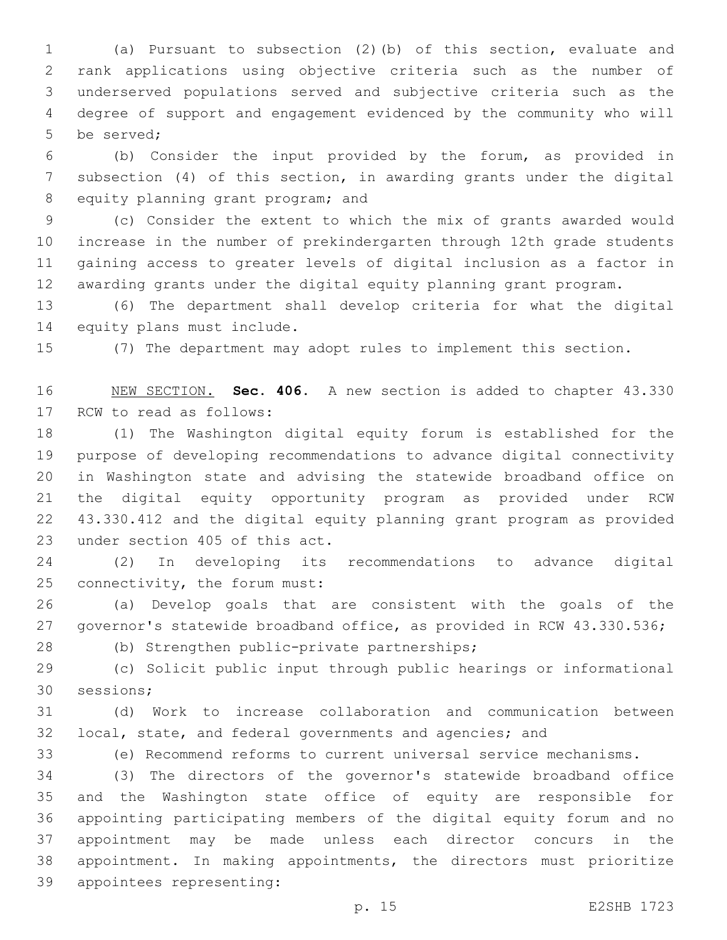(a) Pursuant to subsection (2)(b) of this section, evaluate and rank applications using objective criteria such as the number of underserved populations served and subjective criteria such as the degree of support and engagement evidenced by the community who will 5 be served:

 (b) Consider the input provided by the forum, as provided in subsection (4) of this section, in awarding grants under the digital 8 equity planning grant program; and

 (c) Consider the extent to which the mix of grants awarded would increase in the number of prekindergarten through 12th grade students gaining access to greater levels of digital inclusion as a factor in awarding grants under the digital equity planning grant program.

 (6) The department shall develop criteria for what the digital 14 equity plans must include.

(7) The department may adopt rules to implement this section.

 NEW SECTION. **Sec. 406.** A new section is added to chapter 43.330 17 RCW to read as follows:

 (1) The Washington digital equity forum is established for the purpose of developing recommendations to advance digital connectivity in Washington state and advising the statewide broadband office on the digital equity opportunity program as provided under RCW 43.330.412 and the digital equity planning grant program as provided 23 under section 405 of this act.

 (2) In developing its recommendations to advance digital 25 connectivity, the forum must:

 (a) Develop goals that are consistent with the goals of the governor's statewide broadband office, as provided in RCW 43.330.536;

(b) Strengthen public-private partnerships;28

 (c) Solicit public input through public hearings or informational 30 sessions:

 (d) Work to increase collaboration and communication between local, state, and federal governments and agencies; and

(e) Recommend reforms to current universal service mechanisms.

 (3) The directors of the governor's statewide broadband office and the Washington state office of equity are responsible for appointing participating members of the digital equity forum and no appointment may be made unless each director concurs in the appointment. In making appointments, the directors must prioritize 39 appointees representing: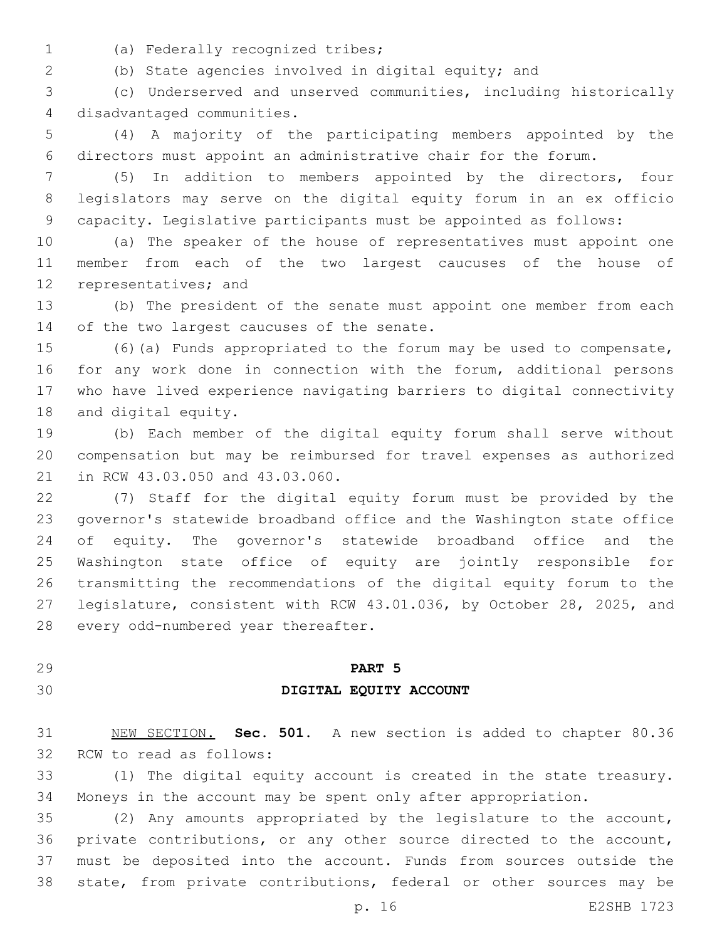- 
- (a) Federally recognized tribes;1

(b) State agencies involved in digital equity; and

 (c) Underserved and unserved communities, including historically 4 disadvantaged communities.

 (4) A majority of the participating members appointed by the directors must appoint an administrative chair for the forum.

 (5) In addition to members appointed by the directors, four legislators may serve on the digital equity forum in an ex officio capacity. Legislative participants must be appointed as follows:

 (a) The speaker of the house of representatives must appoint one member from each of the two largest caucuses of the house of 12 representatives; and

 (b) The president of the senate must appoint one member from each 14 of the two largest caucuses of the senate.

 (6)(a) Funds appropriated to the forum may be used to compensate, for any work done in connection with the forum, additional persons who have lived experience navigating barriers to digital connectivity 18 and digital equity.

 (b) Each member of the digital equity forum shall serve without compensation but may be reimbursed for travel expenses as authorized 21 in RCW 43.03.050 and 43.03.060.

 (7) Staff for the digital equity forum must be provided by the governor's statewide broadband office and the Washington state office of equity. The governor's statewide broadband office and the Washington state office of equity are jointly responsible for transmitting the recommendations of the digital equity forum to the legislature, consistent with RCW 43.01.036, by October 28, 2025, and 28 every odd-numbered year thereafter.

### **PART 5**

#### **DIGITAL EQUITY ACCOUNT**

 NEW SECTION. **Sec. 501.** A new section is added to chapter 80.36 32 RCW to read as follows:

 (1) The digital equity account is created in the state treasury. Moneys in the account may be spent only after appropriation.

 (2) Any amounts appropriated by the legislature to the account, private contributions, or any other source directed to the account, must be deposited into the account. Funds from sources outside the state, from private contributions, federal or other sources may be

p. 16 E2SHB 1723